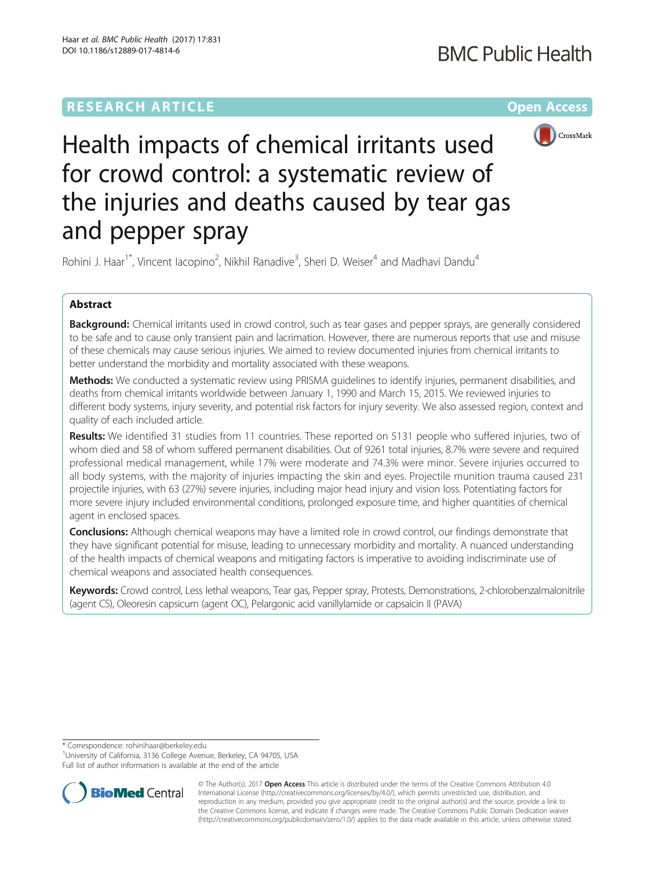

Health impacts of chemical irritants used for crowd control: a systematic review of the injuries and deaths caused by tear gas and pepper spray

Rohini J. Haar<sup>1\*</sup>, Vincent Iacopino<sup>2</sup>, Nikhil Ranadive<sup>3</sup>, Sheri D. Weiser<sup>4</sup> and Madhavi Dandu<sup>4</sup>

# Abstract

Background: Chemical irritants used in crowd control, such as tear gases and pepper sprays, are generally considered to be safe and to cause only transient pain and lacrimation. However, there are numerous reports that use and misuse of these chemicals may cause serious injuries. We aimed to review documented injuries from chemical irritants to better understand the morbidity and mortality associated with these weapons.

Methods: We conducted a systematic review using PRISMA guidelines to identify injuries, permanent disabilities, and deaths from chemical irritants worldwide between January 1, 1990 and March 15, 2015. We reviewed injuries to different body systems, injury severity, and potential risk factors for injury severity. We also assessed region, context and quality of each included article.

Results: We identified 31 studies from 11 countries. These reported on 5131 people who suffered injuries, two of whom died and 58 of whom suffered permanent disabilities. Out of 9261 total injuries, 8.7% were severe and required professional medical management, while 17% were moderate and 74.3% were minor. Severe injuries occurred to all body systems, with the majority of injuries impacting the skin and eyes. Projectile munition trauma caused 231 projectile injuries, with 63 (27%) severe injuries, including major head injury and vision loss. Potentiating factors for more severe injury included environmental conditions, prolonged exposure time, and higher quantities of chemical agent in enclosed spaces.

Conclusions: Although chemical weapons may have a limited role in crowd control, our findings demonstrate that they have significant potential for misuse, leading to unnecessary morbidity and mortality. A nuanced understanding of the health impacts of chemical weapons and mitigating factors is imperative to avoiding indiscriminate use of chemical weapons and associated health consequences.

Keywords: Crowd control, Less lethal weapons, Tear gas, Pepper spray, Protests, Demonstrations, 2-chlorobenzalmalonitrile (agent CS), Oleoresin capsicum (agent OC), Pelargonic acid vanillylamide or capsaicin II (PAVA)

\* Correspondence: [rohinihaar@berkeley.edu](mailto:rohinihaar@berkeley.edu) <sup>1</sup>

<sup>1</sup>University of California, 3136 College Avenue, Berkeley, CA 94705, USA Full list of author information is available at the end of the article



© The Author(s). 2017 **Open Access** This article is distributed under the terms of the Creative Commons Attribution 4.0 International License [\(http://creativecommons.org/licenses/by/4.0/](http://creativecommons.org/licenses/by/4.0/)), which permits unrestricted use, distribution, and reproduction in any medium, provided you give appropriate credit to the original author(s) and the source, provide a link to the Creative Commons license, and indicate if changes were made. The Creative Commons Public Domain Dedication waiver [\(http://creativecommons.org/publicdomain/zero/1.0/](http://creativecommons.org/publicdomain/zero/1.0/)) applies to the data made available in this article, unless otherwise stated.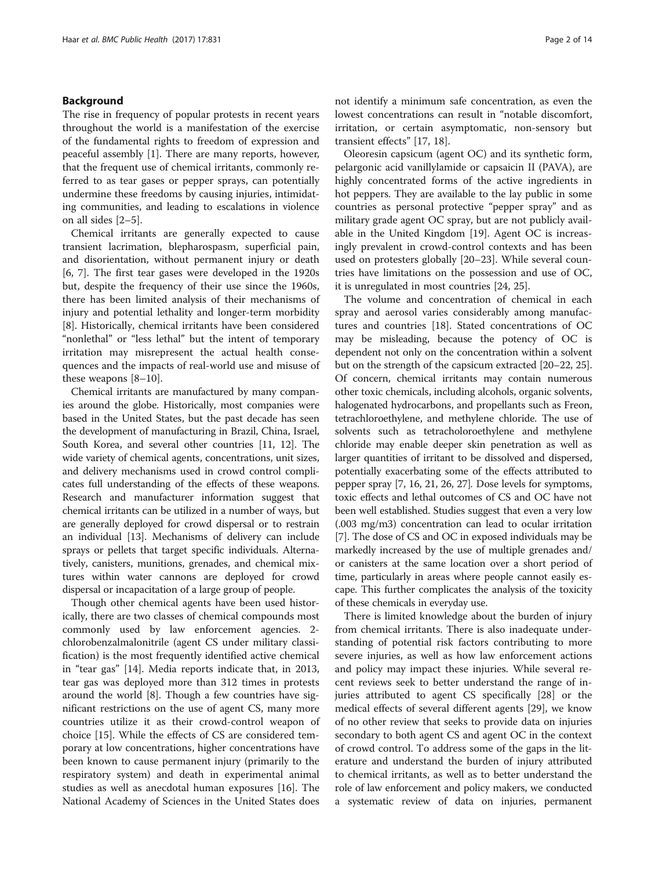## Background

The rise in frequency of popular protests in recent years throughout the world is a manifestation of the exercise of the fundamental rights to freedom of expression and peaceful assembly [[1\]](#page-12-0). There are many reports, however, that the frequent use of chemical irritants, commonly referred to as tear gases or pepper sprays, can potentially undermine these freedoms by causing injuries, intimidating communities, and leading to escalations in violence on all sides [\[2](#page-12-0)–[5](#page-12-0)].

Chemical irritants are generally expected to cause transient lacrimation, blepharospasm, superficial pain, and disorientation, without permanent injury or death [[6, 7\]](#page-12-0). The first tear gases were developed in the 1920s but, despite the frequency of their use since the 1960s, there has been limited analysis of their mechanisms of injury and potential lethality and longer-term morbidity [[8\]](#page-12-0). Historically, chemical irritants have been considered "nonlethal" or "less lethal" but the intent of temporary irritation may misrepresent the actual health consequences and the impacts of real-world use and misuse of these weapons [\[8](#page-12-0)–[10\]](#page-12-0).

Chemical irritants are manufactured by many companies around the globe. Historically, most companies were based in the United States, but the past decade has seen the development of manufacturing in Brazil, China, Israel, South Korea, and several other countries [\[11](#page-12-0), [12\]](#page-12-0). The wide variety of chemical agents, concentrations, unit sizes, and delivery mechanisms used in crowd control complicates full understanding of the effects of these weapons. Research and manufacturer information suggest that chemical irritants can be utilized in a number of ways, but are generally deployed for crowd dispersal or to restrain an individual [[13](#page-12-0)]. Mechanisms of delivery can include sprays or pellets that target specific individuals. Alternatively, canisters, munitions, grenades, and chemical mixtures within water cannons are deployed for crowd dispersal or incapacitation of a large group of people.

Though other chemical agents have been used historically, there are two classes of chemical compounds most commonly used by law enforcement agencies. 2 chlorobenzalmalonitrile (agent CS under military classification) is the most frequently identified active chemical in "tear gas" [[14\]](#page-12-0). Media reports indicate that, in 2013, tear gas was deployed more than 312 times in protests around the world [\[8](#page-12-0)]. Though a few countries have significant restrictions on the use of agent CS, many more countries utilize it as their crowd-control weapon of choice [\[15](#page-12-0)]. While the effects of CS are considered temporary at low concentrations, higher concentrations have been known to cause permanent injury (primarily to the respiratory system) and death in experimental animal studies as well as anecdotal human exposures [[16](#page-12-0)]. The National Academy of Sciences in the United States does not identify a minimum safe concentration, as even the lowest concentrations can result in "notable discomfort, irritation, or certain asymptomatic, non-sensory but transient effects" [\[17](#page-12-0), [18](#page-12-0)].

Oleoresin capsicum (agent OC) and its synthetic form, pelargonic acid vanillylamide or capsaicin II (PAVA), are highly concentrated forms of the active ingredients in hot peppers. They are available to the lay public in some countries as personal protective "pepper spray" and as military grade agent OC spray, but are not publicly available in the United Kingdom [\[19](#page-12-0)]. Agent OC is increasingly prevalent in crowd-control contexts and has been used on protesters globally [[20](#page-12-0)–[23](#page-12-0)]. While several countries have limitations on the possession and use of OC, it is unregulated in most countries [\[24](#page-12-0), [25\]](#page-12-0).

The volume and concentration of chemical in each spray and aerosol varies considerably among manufactures and countries [[18\]](#page-12-0). Stated concentrations of OC may be misleading, because the potency of OC is dependent not only on the concentration within a solvent but on the strength of the capsicum extracted [[20](#page-12-0)–[22, 25](#page-12-0)]. Of concern, chemical irritants may contain numerous other toxic chemicals, including alcohols, organic solvents, halogenated hydrocarbons, and propellants such as Freon, tetrachloroethylene, and methylene chloride. The use of solvents such as tetracholoroethylene and methylene chloride may enable deeper skin penetration as well as larger quantities of irritant to be dissolved and dispersed, potentially exacerbating some of the effects attributed to pepper spray [\[7](#page-12-0), [16, 21](#page-12-0), [26, 27](#page-12-0)]. Dose levels for symptoms, toxic effects and lethal outcomes of CS and OC have not been well established. Studies suggest that even a very low (.003 mg/m3) concentration can lead to ocular irritation [[7\]](#page-12-0). The dose of CS and OC in exposed individuals may be markedly increased by the use of multiple grenades and/ or canisters at the same location over a short period of time, particularly in areas where people cannot easily escape. This further complicates the analysis of the toxicity of these chemicals in everyday use.

There is limited knowledge about the burden of injury from chemical irritants. There is also inadequate understanding of potential risk factors contributing to more severe injuries, as well as how law enforcement actions and policy may impact these injuries. While several recent reviews seek to better understand the range of injuries attributed to agent CS specifically [\[28\]](#page-12-0) or the medical effects of several different agents [[29\]](#page-12-0), we know of no other review that seeks to provide data on injuries secondary to both agent CS and agent OC in the context of crowd control. To address some of the gaps in the literature and understand the burden of injury attributed to chemical irritants, as well as to better understand the role of law enforcement and policy makers, we conducted a systematic review of data on injuries, permanent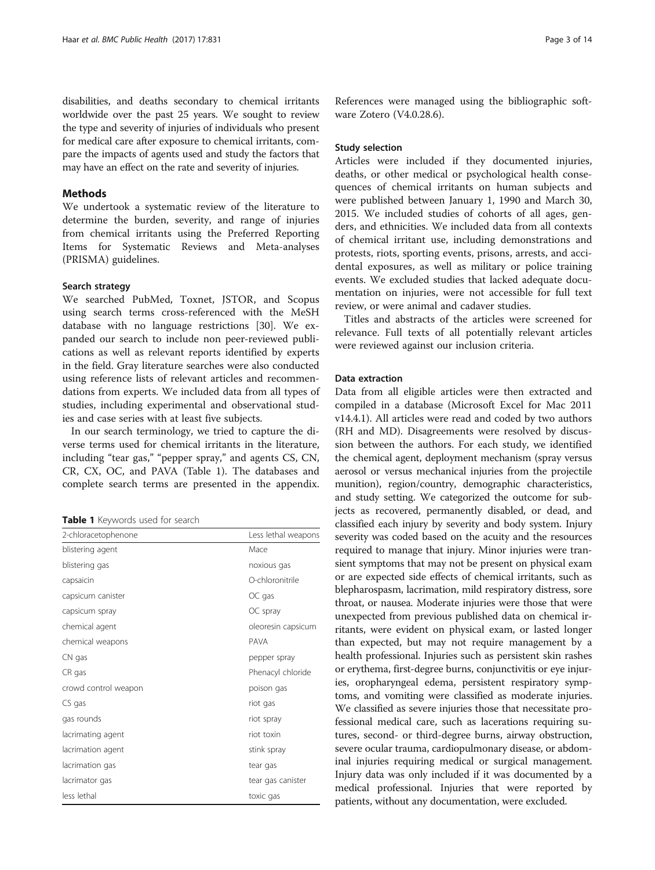disabilities, and deaths secondary to chemical irritants worldwide over the past 25 years. We sought to review the type and severity of injuries of individuals who present for medical care after exposure to chemical irritants, compare the impacts of agents used and study the factors that may have an effect on the rate and severity of injuries.

## Methods

We undertook a systematic review of the literature to determine the burden, severity, and range of injuries from chemical irritants using the Preferred Reporting Items for Systematic Reviews and Meta-analyses (PRISMA) guidelines.

#### Search strategy

We searched PubMed, Toxnet, JSTOR, and Scopus using search terms cross-referenced with the MeSH database with no language restrictions [[30\]](#page-13-0). We expanded our search to include non peer-reviewed publications as well as relevant reports identified by experts in the field. Gray literature searches were also conducted using reference lists of relevant articles and recommendations from experts. We included data from all types of studies, including experimental and observational studies and case series with at least five subjects.

In our search terminology, we tried to capture the diverse terms used for chemical irritants in the literature, including "tear gas," "pepper spray," and agents CS, CN, CR, CX, OC, and PAVA (Table 1). The databases and complete search terms are presented in the appendix.

Table 1 Keywords used for search

| 2-chloracetophenone  | Less lethal weapons |
|----------------------|---------------------|
| blistering agent     | Mace                |
| blistering gas       | noxious gas         |
| capsaicin            | O-chloronitrile     |
| capsicum canister    | $OC$ gas            |
| capsicum spray       | OC spray            |
| chemical agent       | oleoresin capsicum  |
| chemical weapons     | PAVA                |
| CN gas               | pepper spray        |
| CR gas               | Phenacyl chloride   |
| crowd control weapon | poison gas          |
| CS gas               | riot gas            |
| gas rounds           | riot spray          |
| lacrimating agent    | riot toxin          |
| lacrimation agent    | stink spray         |
| lacrimation gas      | tear gas            |
| lacrimator gas       | tear gas canister   |
| less lethal          | toxic gas           |

References were managed using the bibliographic software Zotero (V4.0.28.6).

## Study selection

Articles were included if they documented injuries, deaths, or other medical or psychological health consequences of chemical irritants on human subjects and were published between January 1, 1990 and March 30, 2015. We included studies of cohorts of all ages, genders, and ethnicities. We included data from all contexts of chemical irritant use, including demonstrations and protests, riots, sporting events, prisons, arrests, and accidental exposures, as well as military or police training events. We excluded studies that lacked adequate documentation on injuries, were not accessible for full text review, or were animal and cadaver studies.

Titles and abstracts of the articles were screened for relevance. Full texts of all potentially relevant articles were reviewed against our inclusion criteria.

## Data extraction

Data from all eligible articles were then extracted and compiled in a database (Microsoft Excel for Mac 2011 v14.4.1). All articles were read and coded by two authors (RH and MD). Disagreements were resolved by discussion between the authors. For each study, we identified the chemical agent, deployment mechanism (spray versus aerosol or versus mechanical injuries from the projectile munition), region/country, demographic characteristics, and study setting. We categorized the outcome for subjects as recovered, permanently disabled, or dead, and classified each injury by severity and body system. Injury severity was coded based on the acuity and the resources required to manage that injury. Minor injuries were transient symptoms that may not be present on physical exam or are expected side effects of chemical irritants, such as blepharospasm, lacrimation, mild respiratory distress, sore throat, or nausea. Moderate injuries were those that were unexpected from previous published data on chemical irritants, were evident on physical exam, or lasted longer than expected, but may not require management by a health professional. Injuries such as persistent skin rashes or erythema, first-degree burns, conjunctivitis or eye injuries, oropharyngeal edema, persistent respiratory symptoms, and vomiting were classified as moderate injuries. We classified as severe injuries those that necessitate professional medical care, such as lacerations requiring sutures, second- or third-degree burns, airway obstruction, severe ocular trauma, cardiopulmonary disease, or abdominal injuries requiring medical or surgical management. Injury data was only included if it was documented by a medical professional. Injuries that were reported by patients, without any documentation, were excluded.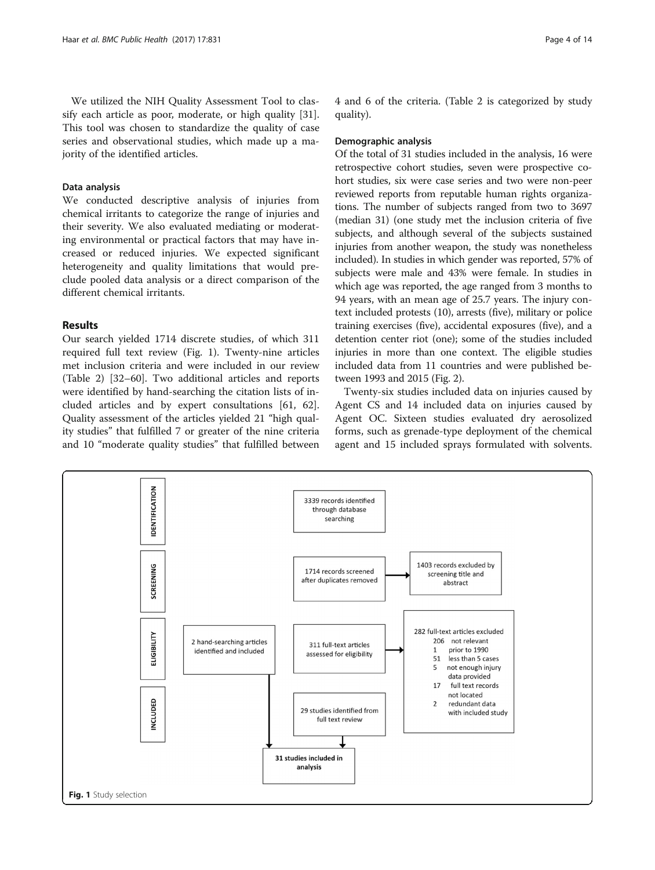## Data analysis

We conducted descriptive analysis of injuries from chemical irritants to categorize the range of injuries and their severity. We also evaluated mediating or moderating environmental or practical factors that may have increased or reduced injuries. We expected significant heterogeneity and quality limitations that would preclude pooled data analysis or a direct comparison of the different chemical irritants.

# Results

Our search yielded 1714 discrete studies, of which 311 required full text review (Fig. 1). Twenty-nine articles met inclusion criteria and were included in our review (Table [2\)](#page-4-0) [\[32](#page-13-0)–[60\]](#page-13-0). Two additional articles and reports were identified by hand-searching the citation lists of included articles and by expert consultations [\[61](#page-13-0), [62](#page-13-0)]. Quality assessment of the articles yielded 21 "high quality studies" that fulfilled 7 or greater of the nine criteria and 10 "moderate quality studies" that fulfilled between

4 and 6 of the criteria. (Table [2](#page-4-0) is categorized by study quality).

## Demographic analysis

Of the total of 31 studies included in the analysis, 16 were retrospective cohort studies, seven were prospective cohort studies, six were case series and two were non-peer reviewed reports from reputable human rights organizations. The number of subjects ranged from two to 3697 (median 31) (one study met the inclusion criteria of five subjects, and although several of the subjects sustained injuries from another weapon, the study was nonetheless included). In studies in which gender was reported, 57% of subjects were male and 43% were female. In studies in which age was reported, the age ranged from 3 months to 94 years, with an mean age of 25.7 years. The injury context included protests (10), arrests (five), military or police training exercises (five), accidental exposures (five), and a detention center riot (one); some of the studies included injuries in more than one context. The eligible studies included data from 11 countries and were published between 1993 and 2015 (Fig. [2](#page-7-0)).

Twenty-six studies included data on injuries caused by Agent CS and 14 included data on injuries caused by Agent OC. Sixteen studies evaluated dry aerosolized forms, such as grenade-type deployment of the chemical agent and 15 included sprays formulated with solvents.

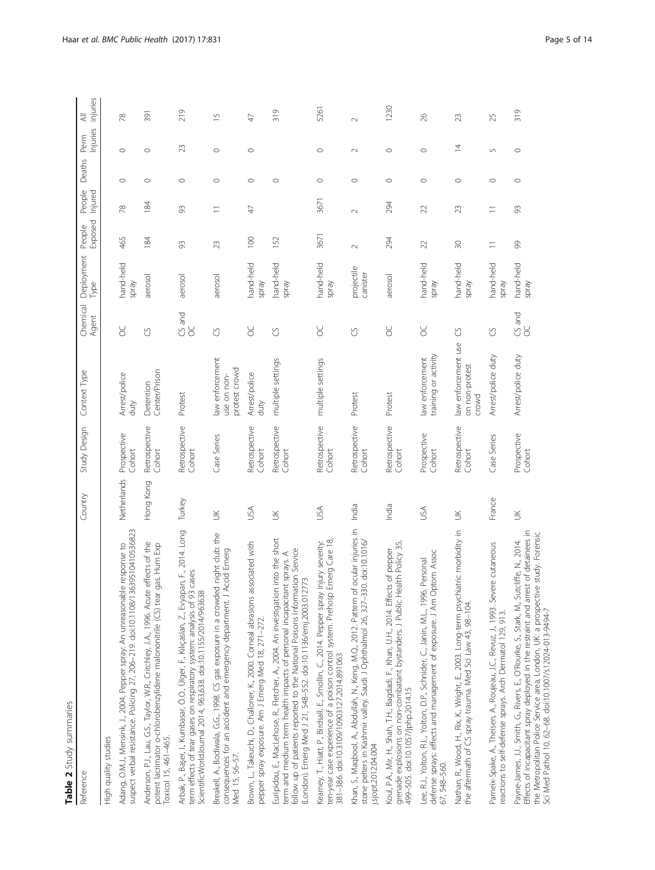<span id="page-4-0"></span>

| Reference                                                                                                                                                                                                                                                                                                                  | Country     | Study Design            | Context Type                                    | Chemical<br>Agent | Deployment<br>Type        | Exposed<br>People | People<br>Injured        | Deaths  | Injuries<br>Perm | injuries<br>$\equiv$ |
|----------------------------------------------------------------------------------------------------------------------------------------------------------------------------------------------------------------------------------------------------------------------------------------------------------------------------|-------------|-------------------------|-------------------------------------------------|-------------------|---------------------------|-------------------|--------------------------|---------|------------------|----------------------|
| High quality studies                                                                                                                                                                                                                                                                                                       |             |                         |                                                 |                   |                           |                   |                          |         |                  |                      |
| suspect verbal resistance. Policing 27, 206-219. doi:10.1108/13639510410536823<br>Adang, O.M.J., Mensink, J., 2004. Pepper spray: An unreasonable response to                                                                                                                                                              | Netherlands | Prospective<br>Cohort   | Arrest/police<br>duty                           | ŏ                 | hand-held<br>yerds        | 465               | 78                       | $\circ$ | $\circ$          | 78                   |
| Anderson, PJ., Lau, G.S., Taylor, W.R., Critchley, J.A., 1996. Acute effects of the<br>potent lacrimator o-chlorobenzylidene malononitrile (CS) tear gas. Hum Exp<br>Toxicol 15, 461-465.                                                                                                                                  | Hong Kong   | Retrospective<br>Cohort | Center/Prison<br>Detention                      | U                 | aerosol                   | 184               | 184                      | $\circ$ | $\circ$          | 391                  |
| Arbak, P., Başer, I., Kumbasar, Ö.O., Ülger, F., Kılıçaslan, Z., Evyapan, F., 2014. Long<br>cases.<br>ScientificWorldJournal 2014, 963,638. doi:10.1155/2014/963638<br>term effects of tear gases on respiratory system: analysis of 93                                                                                    | Turkey      | Retrospective<br>Cohort | Protest                                         | CS and<br>8       | aerosol                   | $\Im$             | 93                       | $\circ$ | 23               | 219                  |
| Breakell, A., Bodiwala, G.G., 1998. CS gas exposure in a crowded night club: the<br>consequences for an accident and emergency department. J Accid Emerg<br>Med 15, 56-57.                                                                                                                                                 | $\leq$      | Case Series             | law enforcement<br>protest crowd<br>use on non- | U                 | aerosol                   | 23                | $\overline{1}$           | $\circ$ | $\circ$          | $\overline{1}$       |
| Brown, L., Takeuchi, D., Challoner, K., 2000. Corneal abrasions associated with<br>pepper spray exposure. Am J Emerg Med 18, 271-272.                                                                                                                                                                                      | USA         | Retrospective<br>Cohort | Arrest/police<br>duty                           | 8                 | hand-held<br>Veids        | 100               | 47                       | $\circ$ | $\circ$          | $\overline{4}$       |
| into the short<br>follow up of patients reported to the National Poisons Information Service<br>term and medium term health impacts of personal incapacitant sprays. A<br>(London). Emerg Med J 21, 548-552. doi:10.1136/emj.2003.012773<br>Euripidou, E., MacLehose, R., Fletcher, A., 2004. An investigation             | $\leq$      | Retrospective<br>Cohort | multiple settings                               | U                 | hand-held<br><b>Spray</b> | 152               |                          | $\circ$ |                  | 319                  |
| Emerg Care 18,<br>injury severity:<br>ten-year case experience of a poison control system. Prehosp F<br>Kearney, T., Hiatt, P., Birdsall, E., Smollin, C., 2014. Pepper spray<br>381-386. doi:10.3109/10903127.2014.891063                                                                                                 | USA         | Retrospective<br>Cohort | multiple settings                               | 8C                | hand-held<br>yerds        | 3671              | 3671                     | $\circ$ | $\circ$          | 5261                 |
| ocular injuries in<br>Khan, S., Maqbool, A., Abdullah, N., Keng, M.Q., 2012. Pattern of ocular injuries<br>stone petters in Kashmir valley. Saudi J Ophthalmol 26, 327–330. doi:10.1016/<br>j.sjopt.2012.04.004                                                                                                            | India       | Retrospective<br>Cohort | Protest                                         | U                 | projectile<br>canister    | $\sim$            | $\sim$                   | $\circ$ | $\sim$           | $\sim$               |
| Koul, P.A., Mir, H., Shah, T.H., Bagdadi, F., Khan, U.H., 2014. Effects of pepper<br>grenade explosions on non-combatant bystanders. J Public Health Policy 35,<br>499-505. doi:10.1057/jphp.2014.15                                                                                                                       | India       | Retrospective<br>Cohort | Protest                                         | 8                 | aerosol                   | 294               | 294                      | $\circ$ | $\circ$          | 1230                 |
| defense sprays: effects and management of exposure. J Am Optom Assoc<br>Personal<br>Lee, R.J., Yolton, R.L., Yolton, D.P., Schnider, C., Janin, M.L., 1996.<br>67, 548-560.                                                                                                                                                | υsΑ         | Prospective<br>Cohort   | training or activity<br>law enforcement         | ŏ                 | hand-held<br>Yerds        | 22                | 22                       | $\circ$ | $\circ$          | 26                   |
| Nathan, R., Wood, H., Rix, K., Wright, E., 2003. Long-term psychiatric morbidity in<br>the aftermath of CS spray trauma. Med Sci Law 43, 98–104.                                                                                                                                                                           | $\leq$      | Retrospective<br>Cohort | law enforcement use<br>on non-protest<br>crowd  | U                 | hand-held<br>yerds        | $\approx$         | 23                       | $\circ$ | $\overline{4}$   | 23                   |
| Parneix-Spake, A., Theisen, A., Roujeau, J.C., Revuz, J., 1993. Severe cutaneous<br>reactions to self-defense sprays. Arch Dermatol 129, 913.                                                                                                                                                                              | France      | Case Series             | Arrest/police duty                              | U                 | hand-held<br>Veids        | $\equiv$          | $\overline{\phantom{0}}$ | $\circ$ | $\sqrt{2}$       | 25                   |
| Effects of incapacitant spray deployed in the restraint and arrest of detainees in<br>the Metropolitan Police Service area, London, UK: a prospective study. Forensic<br>Payne-James, JJ., Smith, G., Rivers, E., O'Rourke, S., Stark, M., Sutcliffe, N., 2014.<br>Sci Med Pathol 10, 62-68. doi:10.1007/s12024-013-9494-7 | $\leq$      | Prospective<br>Cohort   | Arrest/police duty                              | CS and<br>OC      | hand-held<br>yerds        | es                | 93                       | $\circ$ | $\circ$          | 319                  |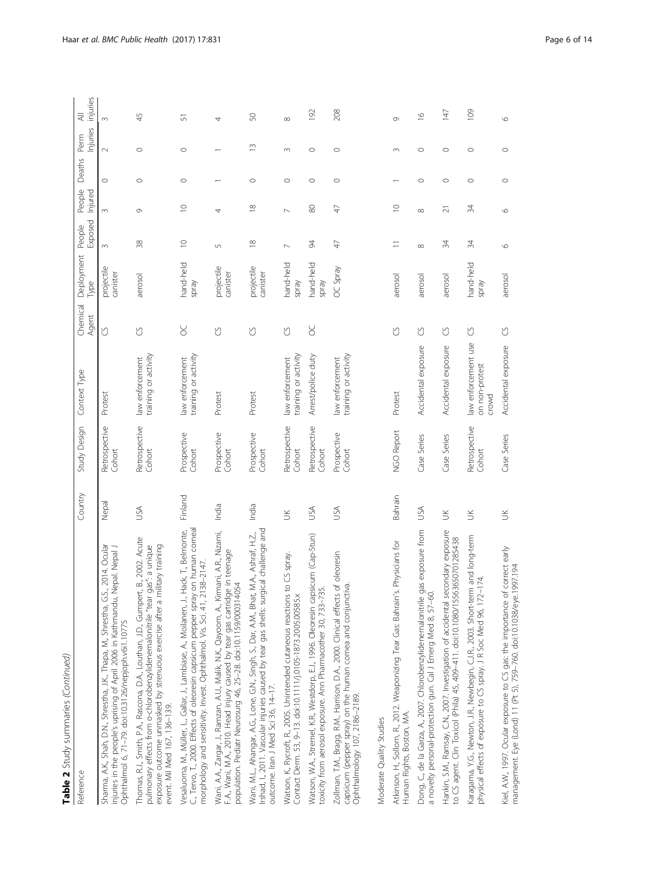| Table 2 Study summaries (Continued)                                                                                                                                                                                                                                             |            |                         |                                                |                   |                        |                          |                          |         |                    |                         |
|---------------------------------------------------------------------------------------------------------------------------------------------------------------------------------------------------------------------------------------------------------------------------------|------------|-------------------------|------------------------------------------------|-------------------|------------------------|--------------------------|--------------------------|---------|--------------------|-------------------------|
| Reference                                                                                                                                                                                                                                                                       | Country    | Study Design            | Context Type                                   | Chemical<br>Agent | Deployment<br>Type     | Exposed<br>People        | People<br>Injured        | Deaths  | Injuries<br>Perm   | injuries<br>₹           |
| 2014. Ocular<br>injuries in the people's uprising of April 2006 in Kathmandu, Nepal. Nepal J<br>Sharma, A.K., Shah, D.N., Shrestha, J.K., Thapa, M., Shrestha, G.S.<br>Ophthalmol 6, 71-79. doi:10.3126/nepjoph.v6i1.10775                                                      | Nepal      | Retrospective<br>Cohort | Protest                                        | U                 | projectile<br>canister | $\sim$                   | $\infty$                 | $\circ$ | $\sim$             | $\sim$                  |
| B., 2002. Acute<br>exposure outcome unmasked by strenuous exercise after a military training<br>pulmonary effects from o-chlorobenzylidenemalonitrile "tear gas": a unique<br>Thomas, R.J., Smith, P.A., Rascona, D.A., Louthan, J.D., Gumpert,<br>event. Mil Med 167, 136-139. | JSΑ        | Retrospective<br>Cohort | training or activity<br>law enforcement        | S                 | aerosol                | 38                       | Ò                        | $\circ$ | $\circ$            | 45                      |
| C., Tervo, T., 2000. Effects of oleoresin capsicum pepper spray on human corneal<br>Vesaluoma, M., Müller, L., Gallar, J., Lambiase, A., Moilanen, J., Hack, T., Belmonte,<br>morphology and sensitivity. Invest. Ophthalmol. Vis. Sci. 41, 2138-2147.                          | Finland    | Prospective<br>Cohort   | training or activity<br>law enforcement        | ŏ                 | hand-held<br>yerds     | $\subseteq$              | $\supseteq$              | $\circ$ | $\circ$            | 5                       |
| Wani, A.A., Zargar, J., Ramzan, A.U., Malik, N.K., Qayoom, A., Kirmani, A.R., Nizami,<br>F.A., Wani, M.A., 2010. Head injury caused by tear gas cartridge in teenage<br>population. Pediatr Neurosurg 46, 25-28. doi:10.1159/000314054                                          | India      | Prospective<br>Cohort   | Protest                                        | S                 | projectile<br>canister | $\sqrt{2}$               | 4                        |         |                    | 4                       |
| Irshad, I., 2011. Vascular injuries caused by tear gas shells: surgical challenge and<br>M.A., Ashraf, H.Z.,<br>Wani, M.L., Ahangar, A.G., Lone, G.N., Singh, S., Dar, A.M., Bhat,<br>outcome. Iran J Med Sci 36, 14-17.                                                        | India      | Prospective<br>Cohort   | Protest                                        | S                 | projectile<br>canister | $\approx$                | $\approx$                | $\circ$ | $\widetilde{\Box}$ | SO,                     |
| Watson, K., Rycroft, R., 2005. Unintended cutaneous reactions to CS spray.<br>Contact Derm. 53, 9–13. doi:10.1111/j.0105-1873.2005.00585.x                                                                                                                                      | $\leq$     | Retrospective<br>Cohort | training or activity<br>law enforcement        | S                 | hand-held<br>yerds     | $\overline{\phantom{0}}$ | $\overline{\phantom{0}}$ | $\circ$ | $\sim$             | $\infty$                |
| Watson, W.A., Stremel, K.R., Westdorp, E.J., 1996. Oleoresin capsicum (Cap-Stun)<br>toxicity from aerosol exposure. Ann Pharmacother 30, 733-735.                                                                                                                               | JSA        | Retrospective<br>Cohort | Arrest/police duty                             | ŏ                 | hand-held<br>yerds     | 94                       | $\rm 80$                 | $\circ$ | $\circ$            | 192                     |
| Zollman, T.M., Bragg, R.M., Harrison, D.A., 2000. Clinical effects of oleoresin<br>capsicum (pepper spray) on the human cornea and conjunctiva.<br>Ophthalmology 107, 2186-2189.                                                                                                | <b>NSU</b> | Prospective<br>Cohort   | training or activity<br>law enforcement        |                   | OC Spray               | 47                       | 47                       | $\circ$ | $\circ$            | 208                     |
| Moderate Quality Studies                                                                                                                                                                                                                                                        |            |                         |                                                |                   |                        |                          |                          |         |                    |                         |
| Physicians for<br>Atkinson, H., Sollom, R., 2012. Weaponizing Tear Gas: Bahrain's.<br>Human Rights, Boston, MA.                                                                                                                                                                 | Bahrain    | NGO Report              | Protest                                        | S                 | aerosol                | $\equiv$                 | $\supseteq$              |         | 3                  | Ò                       |
| Dong, C., de la Garza, A., 2007. Chlorobenzylidenemalonitrile gas exposure from<br>a novelty personal-protection gun. Cal J Emerg Med 8, 57-60.                                                                                                                                 | <b>ASU</b> | Case Series             | Accidental exposure                            | S                 | aerosol                | ${}^{\infty}$            | $\infty$                 | $\circ$ | $\circ$            | $\frac{\infty}{\infty}$ |
| Hankin, S.M., Ramsay, C.N., 2007. Investigation of accidental secondary exposure<br>to CS agent. Clin Toxicol (Phila) 45, 409-411. doi:10.1080/15563650701285438                                                                                                                | $\leq$     | Case Series             | Accidental exposure                            | S                 | aerosol                | 34                       | $\overline{\sim}$        | $\circ$ | $\circ$            | 147                     |
| Karagama, Y.G., Newton, J.R., Newbegin, C.J.R., 2003. Short-term and long-term<br>physical effects of exposure to CS spray. J R Soc Med 96, 172-174.                                                                                                                            | $\leq$     | Retrospective<br>Cohort | law enforcement use<br>on non-protest<br>crowd | U                 | hand-held<br>Spray     | 34                       | 34                       | $\circ$ | $\circ$            | 109                     |
| correct early<br>997.194<br>Kiel, A.W., 1997. Ocular exposure to CS gas: the importance of<br>management. Eye (Lond) 11 (Pt 5), 759–760. doi:10.1038/eye.1                                                                                                                      | $\leq$     | Case Series             | Accidental exposure                            | U                 | aerosol                | $\circ$                  | $\circ$                  | $\circ$ | $\circ$            | $\circ$                 |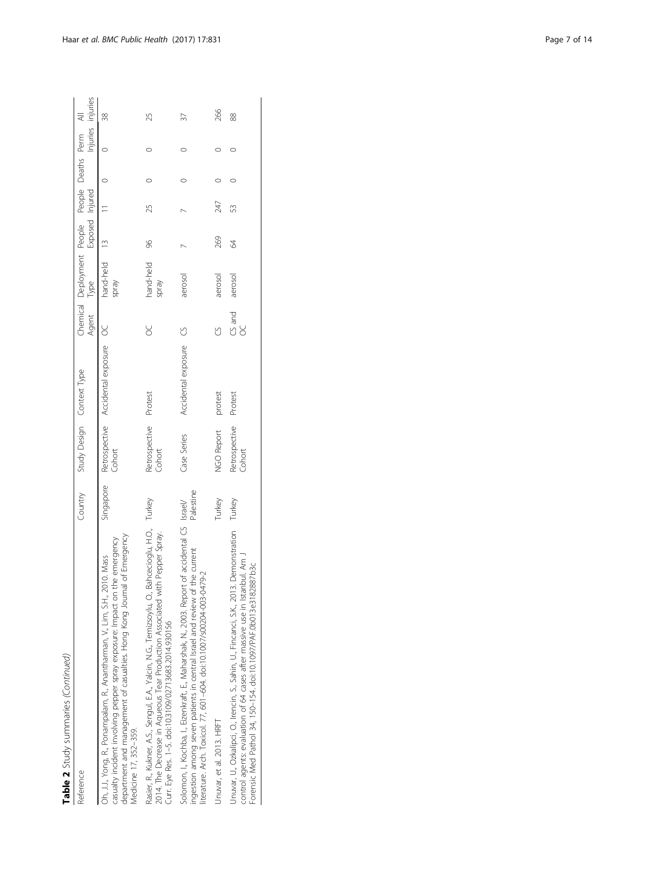| Table 2 Study summaries (Continued)                                                                                                                                                                                                                          |           |                           |                                      |             |                                                       |                 |     |                   |     |
|--------------------------------------------------------------------------------------------------------------------------------------------------------------------------------------------------------------------------------------------------------------|-----------|---------------------------|--------------------------------------|-------------|-------------------------------------------------------|-----------------|-----|-------------------|-----|
| Reference                                                                                                                                                                                                                                                    | Country   | Study Design Context Type |                                      | Agent       | Chemical Deployment People People Deaths Perm<br>Type | Exposed Injured |     | Injuries injuries |     |
| department and management of casualties. Hong Kong Journal of Emergency<br>casualty incident involving pepper spray exposure: Impact on the emergency<br>Oh, J.J., Yong, R., Ponampalam, R., Anantharman, V., Lim, S.H., 2010. Mass<br>Medicine 17, 352-359. | Singapore | Cohort                    | Retrospective Accidental exposure OC |             | hand-held<br>Yeıds                                    | $\frac{13}{2}$  |     |                   | 38  |
| Rasier, R., Kukner, A.S., Sengul, E.A., Yalcin, N.G., Temizsoylu, O., Bahcecioglu, H.O., Turkey<br>2014. The Decrease in Aqueous Tear Production Associated with Pepper Spray.<br>Curr. Eye Res. 1-5. doi:10.3109/02713683.2014.930156                       |           | Retrospective<br>Cohort   | Protest                              | ४           | hand-held<br>Yeıds                                    | 96              | 25  |                   | 25  |
| Solomon, I., Kochba, I., Eizenkraft, E., Maharshak, N., 2003. Report of accidental CS Israel/<br>ingestion among seven patients in central Israel and review of the current<br>literature. Arch. Toxicol. 77, 601-604. doi:10.1007/s00204-003-0479-2         | Palestine | Case Series               | Accidental exposure CS               |             | aerosol                                               |                 |     |                   |     |
| Unuvar, et al. 2013. HRFT                                                                                                                                                                                                                                    | Turkey    | NGO Report                | protest                              | U           | aerosol                                               | 269             | 247 |                   | 266 |
| Unuvar, U., Ozkalipci, O., Irencin, S., Sahin, U., Fincanci, S.K., 2013. Demonstration<br>control agents: evaluation of 64 cases after massive use in Istanbul. Am J<br>Forensic Med Pathol 34, 150-154. doi:10.1097/PAF.0b013e3182887b3c                    | Turkey    | Retrospective<br>Cohort   | Protest                              | CS and<br>8 | aerosol                                               | 84              | 53  |                   | 88  |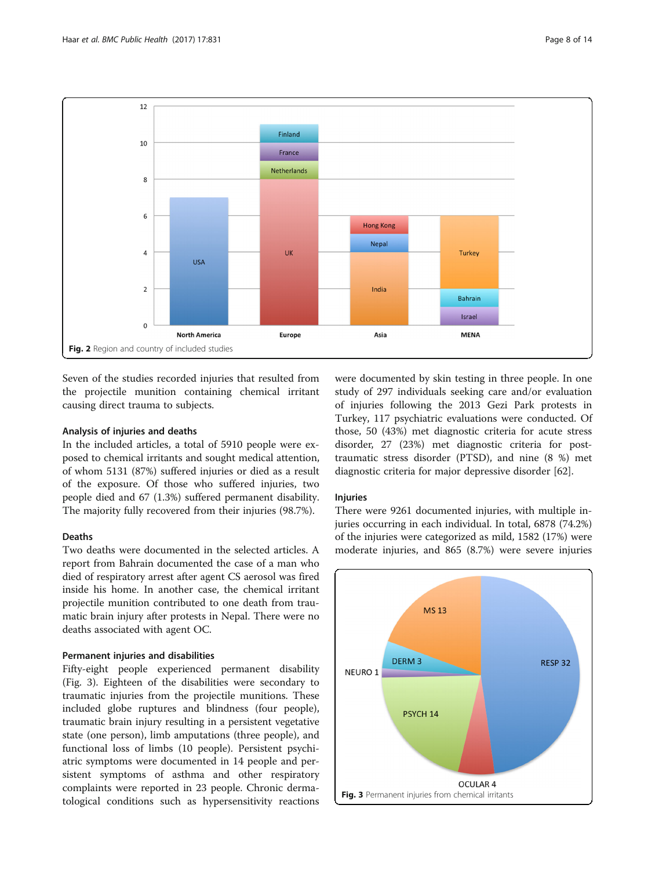<span id="page-7-0"></span>

Seven of the studies recorded injuries that resulted from the projectile munition containing chemical irritant causing direct trauma to subjects.

## Analysis of injuries and deaths

In the included articles, a total of 5910 people were exposed to chemical irritants and sought medical attention, of whom 5131 (87%) suffered injuries or died as a result of the exposure. Of those who suffered injuries, two people died and 67 (1.3%) suffered permanent disability. The majority fully recovered from their injuries (98.7%).

# Deaths

Two deaths were documented in the selected articles. A report from Bahrain documented the case of a man who died of respiratory arrest after agent CS aerosol was fired inside his home. In another case, the chemical irritant projectile munition contributed to one death from traumatic brain injury after protests in Nepal. There were no deaths associated with agent OC.

## Permanent injuries and disabilities

Fifty-eight people experienced permanent disability (Fig. 3). Eighteen of the disabilities were secondary to traumatic injuries from the projectile munitions. These included globe ruptures and blindness (four people), traumatic brain injury resulting in a persistent vegetative state (one person), limb amputations (three people), and functional loss of limbs (10 people). Persistent psychiatric symptoms were documented in 14 people and persistent symptoms of asthma and other respiratory complaints were reported in 23 people. Chronic dermatological conditions such as hypersensitivity reactions

were documented by skin testing in three people. In one study of 297 individuals seeking care and/or evaluation of injuries following the 2013 Gezi Park protests in Turkey, 117 psychiatric evaluations were conducted. Of those, 50 (43%) met diagnostic criteria for acute stress disorder, 27 (23%) met diagnostic criteria for posttraumatic stress disorder (PTSD), and nine (8 %) met diagnostic criteria for major depressive disorder [[62\]](#page-13-0).

# Injuries

There were 9261 documented injuries, with multiple injuries occurring in each individual. In total, 6878 (74.2%) of the injuries were categorized as mild, 1582 (17%) were moderate injuries, and 865 (8.7%) were severe injuries

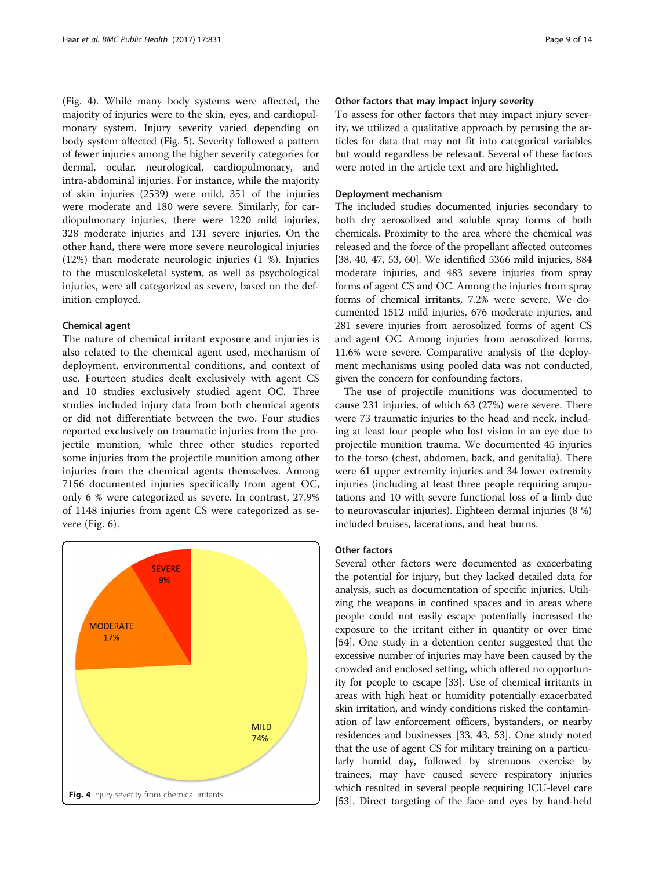(Fig. 4). While many body systems were affected, the majority of injuries were to the skin, eyes, and cardiopulmonary system. Injury severity varied depending on body system affected (Fig. [5\)](#page-9-0). Severity followed a pattern of fewer injuries among the higher severity categories for dermal, ocular, neurological, cardiopulmonary, and intra-abdominal injuries. For instance, while the majority of skin injuries (2539) were mild, 351 of the injuries were moderate and 180 were severe. Similarly, for cardiopulmonary injuries, there were 1220 mild injuries, 328 moderate injuries and 131 severe injuries. On the other hand, there were more severe neurological injuries (12%) than moderate neurologic injuries (1 %). Injuries to the musculoskeletal system, as well as psychological injuries, were all categorized as severe, based on the definition employed.

## Chemical agent

The nature of chemical irritant exposure and injuries is also related to the chemical agent used, mechanism of deployment, environmental conditions, and context of use. Fourteen studies dealt exclusively with agent CS and 10 studies exclusively studied agent OC. Three studies included injury data from both chemical agents or did not differentiate between the two. Four studies reported exclusively on traumatic injuries from the projectile munition, while three other studies reported some injuries from the projectile munition among other injuries from the chemical agents themselves. Among 7156 documented injuries specifically from agent OC, only 6 % were categorized as severe. In contrast, 27.9% of 1148 injuries from agent CS were categorized as severe (Fig. [6](#page-9-0)).



## Other factors that may impact injury severity

To assess for other factors that may impact injury severity, we utilized a qualitative approach by perusing the articles for data that may not fit into categorical variables but would regardless be relevant. Several of these factors were noted in the article text and are highlighted.

#### Deployment mechanism

The included studies documented injuries secondary to both dry aerosolized and soluble spray forms of both chemicals. Proximity to the area where the chemical was released and the force of the propellant affected outcomes [[38](#page-13-0), [40, 47, 53, 60\]](#page-13-0). We identified 5366 mild injuries, 884 moderate injuries, and 483 severe injuries from spray forms of agent CS and OC. Among the injuries from spray forms of chemical irritants, 7.2% were severe. We documented 1512 mild injuries, 676 moderate injuries, and 281 severe injuries from aerosolized forms of agent CS and agent OC. Among injuries from aerosolized forms, 11.6% were severe. Comparative analysis of the deployment mechanisms using pooled data was not conducted, given the concern for confounding factors.

The use of projectile munitions was documented to cause 231 injuries, of which 63 (27%) were severe. There were 73 traumatic injuries to the head and neck, including at least four people who lost vision in an eye due to projectile munition trauma. We documented 45 injuries to the torso (chest, abdomen, back, and genitalia). There were 61 upper extremity injuries and 34 lower extremity injuries (including at least three people requiring amputations and 10 with severe functional loss of a limb due to neurovascular injuries). Eighteen dermal injuries (8 %) included bruises, lacerations, and heat burns.

#### Other factors

Several other factors were documented as exacerbating the potential for injury, but they lacked detailed data for analysis, such as documentation of specific injuries. Utilizing the weapons in confined spaces and in areas where people could not easily escape potentially increased the exposure to the irritant either in quantity or over time [[54](#page-13-0)]. One study in a detention center suggested that the excessive number of injuries may have been caused by the crowded and enclosed setting, which offered no opportunity for people to escape [[33](#page-13-0)]. Use of chemical irritants in areas with high heat or humidity potentially exacerbated skin irritation, and windy conditions risked the contamination of law enforcement officers, bystanders, or nearby residences and businesses [[33](#page-13-0), [43](#page-13-0), [53](#page-13-0)]. One study noted that the use of agent CS for military training on a particularly humid day, followed by strenuous exercise by trainees, may have caused severe respiratory injuries which resulted in several people requiring ICU-level care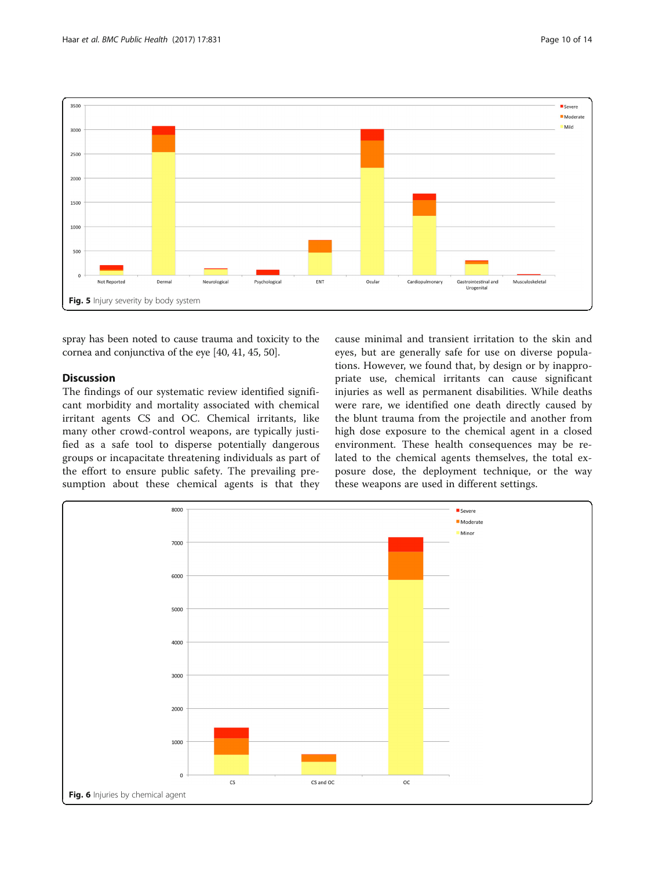<span id="page-9-0"></span>

spray has been noted to cause trauma and toxicity to the cornea and conjunctiva of the eye [[40](#page-13-0), [41, 45](#page-13-0), [50](#page-13-0)].

# Discussion

The findings of our systematic review identified significant morbidity and mortality associated with chemical irritant agents CS and OC. Chemical irritants, like many other crowd-control weapons, are typically justified as a safe tool to disperse potentially dangerous groups or incapacitate threatening individuals as part of the effort to ensure public safety. The prevailing presumption about these chemical agents is that they

cause minimal and transient irritation to the skin and eyes, but are generally safe for use on diverse populations. However, we found that, by design or by inappropriate use, chemical irritants can cause significant injuries as well as permanent disabilities. While deaths were rare, we identified one death directly caused by the blunt trauma from the projectile and another from high dose exposure to the chemical agent in a closed environment. These health consequences may be related to the chemical agents themselves, the total exposure dose, the deployment technique, or the way these weapons are used in different settings.

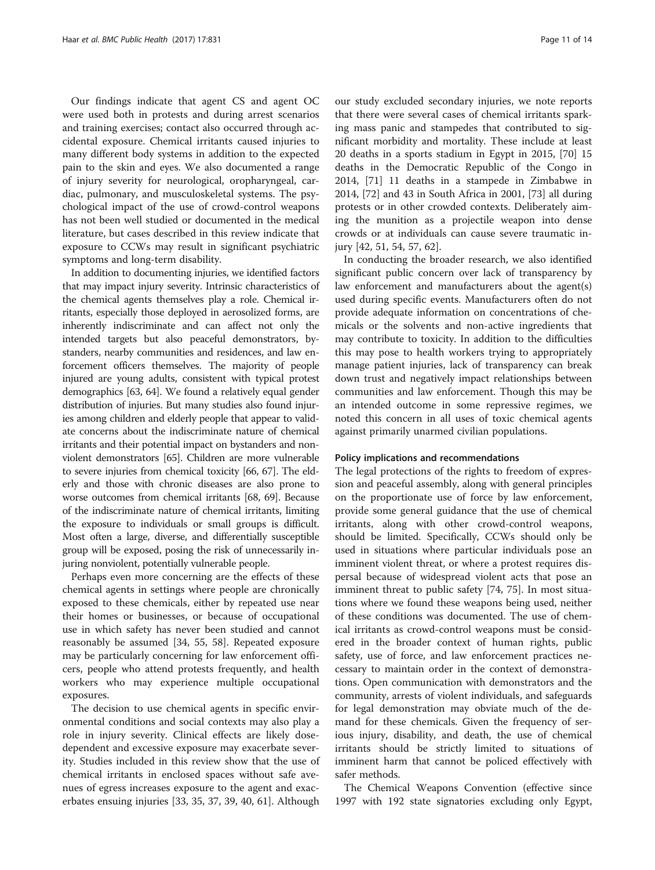Our findings indicate that agent CS and agent OC were used both in protests and during arrest scenarios and training exercises; contact also occurred through accidental exposure. Chemical irritants caused injuries to many different body systems in addition to the expected pain to the skin and eyes. We also documented a range of injury severity for neurological, oropharyngeal, cardiac, pulmonary, and musculoskeletal systems. The psychological impact of the use of crowd-control weapons has not been well studied or documented in the medical literature, but cases described in this review indicate that exposure to CCWs may result in significant psychiatric symptoms and long-term disability.

In addition to documenting injuries, we identified factors that may impact injury severity. Intrinsic characteristics of the chemical agents themselves play a role. Chemical irritants, especially those deployed in aerosolized forms, are inherently indiscriminate and can affect not only the intended targets but also peaceful demonstrators, bystanders, nearby communities and residences, and law enforcement officers themselves. The majority of people injured are young adults, consistent with typical protest demographics [\[63, 64](#page-13-0)]. We found a relatively equal gender distribution of injuries. But many studies also found injuries among children and elderly people that appear to validate concerns about the indiscriminate nature of chemical irritants and their potential impact on bystanders and nonviolent demonstrators [[65\]](#page-13-0). Children are more vulnerable to severe injuries from chemical toxicity [[66](#page-13-0), [67\]](#page-13-0). The elderly and those with chronic diseases are also prone to worse outcomes from chemical irritants [\[68, 69\]](#page-13-0). Because of the indiscriminate nature of chemical irritants, limiting the exposure to individuals or small groups is difficult. Most often a large, diverse, and differentially susceptible group will be exposed, posing the risk of unnecessarily injuring nonviolent, potentially vulnerable people.

Perhaps even more concerning are the effects of these chemical agents in settings where people are chronically exposed to these chemicals, either by repeated use near their homes or businesses, or because of occupational use in which safety has never been studied and cannot reasonably be assumed [[34](#page-13-0), [55, 58\]](#page-13-0). Repeated exposure may be particularly concerning for law enforcement officers, people who attend protests frequently, and health workers who may experience multiple occupational exposures.

The decision to use chemical agents in specific environmental conditions and social contexts may also play a role in injury severity. Clinical effects are likely dosedependent and excessive exposure may exacerbate severity. Studies included in this review show that the use of chemical irritants in enclosed spaces without safe avenues of egress increases exposure to the agent and exacerbates ensuing injuries [\[33](#page-13-0), [35](#page-13-0), [37](#page-13-0), [39, 40, 61\]](#page-13-0). Although our study excluded secondary injuries, we note reports that there were several cases of chemical irritants sparking mass panic and stampedes that contributed to significant morbidity and mortality. These include at least 20 deaths in a sports stadium in Egypt in 2015, [\[70\]](#page-13-0) 15 deaths in the Democratic Republic of the Congo in 2014, [\[71](#page-13-0)] 11 deaths in a stampede in Zimbabwe in 2014, [[72](#page-13-0)] and 43 in South Africa in 2001, [\[73](#page-13-0)] all during protests or in other crowded contexts. Deliberately aiming the munition as a projectile weapon into dense crowds or at individuals can cause severe traumatic injury [[42, 51](#page-13-0), [54](#page-13-0), [57](#page-13-0), [62](#page-13-0)].

In conducting the broader research, we also identified significant public concern over lack of transparency by law enforcement and manufacturers about the agent(s) used during specific events. Manufacturers often do not provide adequate information on concentrations of chemicals or the solvents and non-active ingredients that may contribute to toxicity. In addition to the difficulties this may pose to health workers trying to appropriately manage patient injuries, lack of transparency can break down trust and negatively impact relationships between communities and law enforcement. Though this may be an intended outcome in some repressive regimes, we noted this concern in all uses of toxic chemical agents against primarily unarmed civilian populations.

#### Policy implications and recommendations

The legal protections of the rights to freedom of expression and peaceful assembly, along with general principles on the proportionate use of force by law enforcement, provide some general guidance that the use of chemical irritants, along with other crowd-control weapons, should be limited. Specifically, CCWs should only be used in situations where particular individuals pose an imminent violent threat, or where a protest requires dispersal because of widespread violent acts that pose an imminent threat to public safety [[74, 75\]](#page-13-0). In most situations where we found these weapons being used, neither of these conditions was documented. The use of chemical irritants as crowd-control weapons must be considered in the broader context of human rights, public safety, use of force, and law enforcement practices necessary to maintain order in the context of demonstrations. Open communication with demonstrators and the community, arrests of violent individuals, and safeguards for legal demonstration may obviate much of the demand for these chemicals. Given the frequency of serious injury, disability, and death, the use of chemical irritants should be strictly limited to situations of imminent harm that cannot be policed effectively with safer methods.

The Chemical Weapons Convention (effective since 1997 with 192 state signatories excluding only Egypt,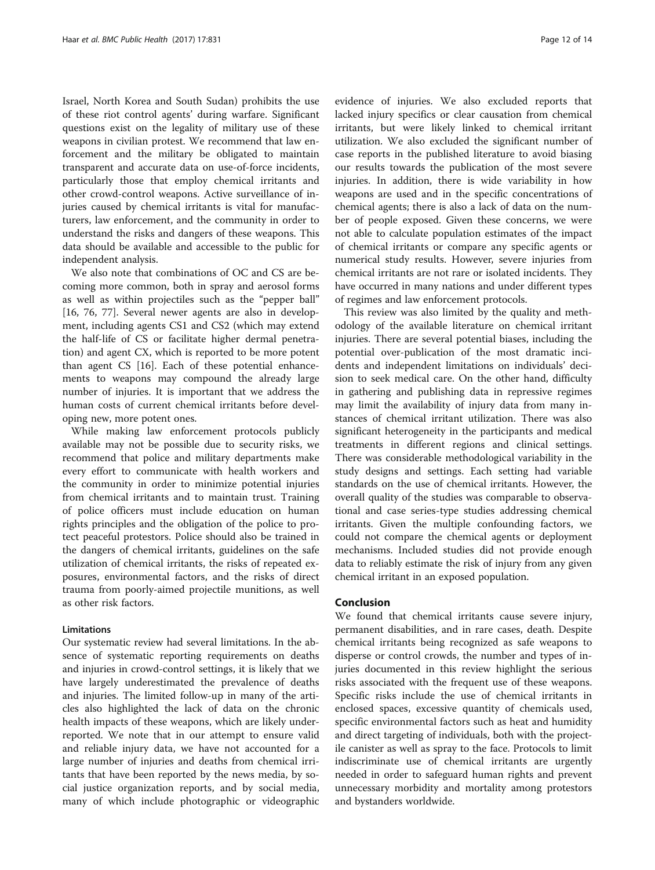Israel, North Korea and South Sudan) prohibits the use of these riot control agents' during warfare. Significant questions exist on the legality of military use of these weapons in civilian protest. We recommend that law enforcement and the military be obligated to maintain transparent and accurate data on use-of-force incidents, particularly those that employ chemical irritants and other crowd-control weapons. Active surveillance of injuries caused by chemical irritants is vital for manufacturers, law enforcement, and the community in order to understand the risks and dangers of these weapons. This data should be available and accessible to the public for independent analysis.

We also note that combinations of OC and CS are becoming more common, both in spray and aerosol forms as well as within projectiles such as the "pepper ball" [[16,](#page-12-0) [76](#page-13-0), [77\]](#page-13-0). Several newer agents are also in development, including agents CS1 and CS2 (which may extend the half-life of CS or facilitate higher dermal penetration) and agent CX, which is reported to be more potent than agent CS [\[16](#page-12-0)]. Each of these potential enhancements to weapons may compound the already large number of injuries. It is important that we address the human costs of current chemical irritants before developing new, more potent ones.

While making law enforcement protocols publicly available may not be possible due to security risks, we recommend that police and military departments make every effort to communicate with health workers and the community in order to minimize potential injuries from chemical irritants and to maintain trust. Training of police officers must include education on human rights principles and the obligation of the police to protect peaceful protestors. Police should also be trained in the dangers of chemical irritants, guidelines on the safe utilization of chemical irritants, the risks of repeated exposures, environmental factors, and the risks of direct trauma from poorly-aimed projectile munitions, as well as other risk factors.

## Limitations

Our systematic review had several limitations. In the absence of systematic reporting requirements on deaths and injuries in crowd-control settings, it is likely that we have largely underestimated the prevalence of deaths and injuries. The limited follow-up in many of the articles also highlighted the lack of data on the chronic health impacts of these weapons, which are likely underreported. We note that in our attempt to ensure valid and reliable injury data, we have not accounted for a large number of injuries and deaths from chemical irritants that have been reported by the news media, by social justice organization reports, and by social media, many of which include photographic or videographic

evidence of injuries. We also excluded reports that lacked injury specifics or clear causation from chemical irritants, but were likely linked to chemical irritant utilization. We also excluded the significant number of case reports in the published literature to avoid biasing our results towards the publication of the most severe injuries. In addition, there is wide variability in how weapons are used and in the specific concentrations of chemical agents; there is also a lack of data on the number of people exposed. Given these concerns, we were not able to calculate population estimates of the impact of chemical irritants or compare any specific agents or numerical study results. However, severe injuries from chemical irritants are not rare or isolated incidents. They have occurred in many nations and under different types of regimes and law enforcement protocols.

This review was also limited by the quality and methodology of the available literature on chemical irritant injuries. There are several potential biases, including the potential over-publication of the most dramatic incidents and independent limitations on individuals' decision to seek medical care. On the other hand, difficulty in gathering and publishing data in repressive regimes may limit the availability of injury data from many instances of chemical irritant utilization. There was also significant heterogeneity in the participants and medical treatments in different regions and clinical settings. There was considerable methodological variability in the study designs and settings. Each setting had variable standards on the use of chemical irritants. However, the overall quality of the studies was comparable to observational and case series-type studies addressing chemical irritants. Given the multiple confounding factors, we could not compare the chemical agents or deployment mechanisms. Included studies did not provide enough data to reliably estimate the risk of injury from any given chemical irritant in an exposed population.

## Conclusion

We found that chemical irritants cause severe injury, permanent disabilities, and in rare cases, death. Despite chemical irritants being recognized as safe weapons to disperse or control crowds, the number and types of injuries documented in this review highlight the serious risks associated with the frequent use of these weapons. Specific risks include the use of chemical irritants in enclosed spaces, excessive quantity of chemicals used, specific environmental factors such as heat and humidity and direct targeting of individuals, both with the projectile canister as well as spray to the face. Protocols to limit indiscriminate use of chemical irritants are urgently needed in order to safeguard human rights and prevent unnecessary morbidity and mortality among protestors and bystanders worldwide.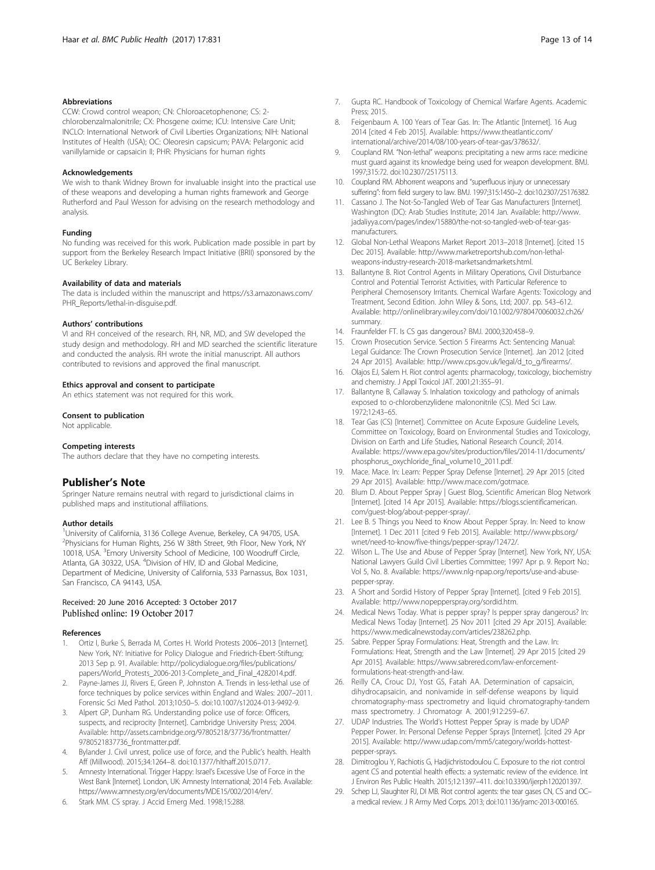#### <span id="page-12-0"></span>Abbreviations

CCW: Crowd control weapon; CN: Chloroacetophenone; CS: 2 chlorobenzalmalonitrile; CX: Phosgene oxime; ICU: Intensive Care Unit; INCLO: International Network of Civil Liberties Organizations; NIH: National Institutes of Health (USA); OC: Oleoresin capsicum; PAVA: Pelargonic acid vanillylamide or capsaicin II; PHR: Physicians for human rights

#### Acknowledgements

We wish to thank Widney Brown for invaluable insight into the practical use of these weapons and developing a human rights framework and George Rutherford and Paul Wesson for advising on the research methodology and analysis.

## Funding

No funding was received for this work. Publication made possible in part by support from the Berkeley Research Impact Initiative (BRII) sponsored by the UC Berkeley Library.

#### Availability of data and materials

The data is included within the manuscript and [https://s3.amazonaws.com/](https://s3.amazonaws.com/PHR_Reports/lethal-in-disguise.pdf) [PHR\\_Reports/lethal-in-disguise.pdf.](https://s3.amazonaws.com/PHR_Reports/lethal-in-disguise.pdf)

#### Authors' contributions

VI and RH conceived of the research. RH, NR, MD, and SW developed the study design and methodology. RH and MD searched the scientific literature and conducted the analysis. RH wrote the initial manuscript. All authors contributed to revisions and approved the final manuscript.

#### Ethics approval and consent to participate

An ethics statement was not required for this work.

#### Consent to publication

Not applicable.

#### Competing interests

The authors declare that they have no competing interests.

## Publisher's Note

Springer Nature remains neutral with regard to jurisdictional claims in published maps and institutional affiliations.

#### Author details

<sup>1</sup>University of California, 3136 College Avenue, Berkeley, CA 94705, USA. <sup>2</sup> Physicians for Human Rights, 256 W 38th Street, 9th Floor, New York, NY 10018, USA. <sup>3</sup> Emory University School of Medicine, 100 Woodruff Circle, Atlanta, GA 30322, USA. <sup>4</sup>Division of HIV, ID and Global Medicine, Department of Medicine, University of California, 533 Parnassus, Box 1031, San Francisco, CA 94143, USA.

# Received: 20 June 2016 Accepted: 3 October 2017<br>Published online: 19 October 2017

#### References

- Ortiz I, Burke S, Berrada M, Cortes H. World Protests 2006-2013 [Internet]. New York, NY: Initiative for Policy Dialogue and Friedrich-Ebert-Stiftung; 2013 Sep p. 91. Available: [http://policydialogue.org/files/publications/](http://policydialogue.org/files/publications/papers/World_Protests_2006-2013-Complete_and_Final_4282014.pdf) [papers/World\\_Protests\\_2006-2013-Complete\\_and\\_Final\\_4282014.pdf](http://policydialogue.org/files/publications/papers/World_Protests_2006-2013-Complete_and_Final_4282014.pdf).
- 2. Payne-James JJ, Rivers E, Green P, Johnston A. Trends in less-lethal use of force techniques by police services within England and Wales: 2007–2011. Forensic Sci Med Pathol. 2013;10:50–5. doi:[10.1007/s12024-013-9492-9](http://dx.doi.org/10.1007/s12024-013-9492-9).
- 3. Alpert GP, Dunham RG. Understanding police use of force: Officers, suspects, and reciprocity [Internet]. Cambridge University Press; 2004. Available: [http://assets.cambridge.org/97805218/37736/frontmatter/](http://assets.cambridge.org/97805218/37736/frontmatter/9780521837736_frontmatter.pdf) [9780521837736\\_frontmatter.pdf.](http://assets.cambridge.org/97805218/37736/frontmatter/9780521837736_frontmatter.pdf)
- 4. Bylander J. Civil unrest, police use of force, and the Public's health. Health Aff (Millwood). 2015;34:1264–8. doi[:10.1377/hlthaff.2015.0717](http://dx.doi.org/10.1377/hlthaff.2015.0717).
- 5. Amnesty International. Trigger Happy: Israel's Excessive Use of Force in the West Bank [Internet]. London, UK: Amnesty International; 2014 Feb. Available: [https://www.amnesty.org/en/documents/MDE15/002/2014/en/.](https://www.amnesty.org/en/documents/MDE15/002/2014/en/)
- 6. Stark MM. CS spray. J Accid Emerg Med. 1998;15:288.
- 7. Gupta RC. Handbook of Toxicology of Chemical Warfare Agents. Academic Press; 2015.
- 8. Feigenbaum A. 100 Years of Tear Gas. In: The Atlantic [Internet]. 16 Aug. 2014 [cited 4 Feb 2015]. Available: [https://www.theatlantic.com/](https://www.theatlantic.com/international/archive/2014/08/100-years-of-tear-gas/378632/) [international/archive/2014/08/100-years-of-tear-gas/378632/](https://www.theatlantic.com/international/archive/2014/08/100-years-of-tear-gas/378632/).
- 9. Coupland RM. "Non-lethal" weapons: precipitating a new arms race: medicine must guard against its knowledge being used for weapon development. BMJ. 1997;315:72. doi:[10.2307/25175113.](http://dx.doi.org/10.2307/25175113)
- 10. Coupland RM. Abhorrent weapons and "superfluous injury or unnecessary suffering": from field surgery to law. BMJ. 1997;315:1450–2. doi:[10.2307/25176382](http://dx.doi.org/10.2307/25176382).
- 11. Cassano J. The Not-So-Tangled Web of Tear Gas Manufacturers [Internet]. Washington (DC): Arab Studies Institute; 2014 Jan. Available: [http://www.](http://www.jadaliyya.com/pages/index/15880/the-not-so-tangled-web-of-tear-gas-manufacturers) [jadaliyya.com/pages/index/15880/the-not-so-tangled-web-of-tear-gas](http://www.jadaliyya.com/pages/index/15880/the-not-so-tangled-web-of-tear-gas-manufacturers)[manufacturers](http://www.jadaliyya.com/pages/index/15880/the-not-so-tangled-web-of-tear-gas-manufacturers).
- 12. Global Non-Lethal Weapons Market Report 2013–2018 [Internet]. [cited 15 Dec 2015]. Available: [http://www.marketreportshub.com/non-lethal](http://www.marketreportshub.com/non-lethal-weapons-industry-research-2018-marketsandmarkets.html)[weapons-industry-research-2018-marketsandmarkets.html](http://www.marketreportshub.com/non-lethal-weapons-industry-research-2018-marketsandmarkets.html).
- 13. Ballantyne B. Riot Control Agents in Military Operations, Civil Disturbance Control and Potential Terrorist Activities, with Particular Reference to Peripheral Chemosensory Irritants. Chemical Warfare Agents: Toxicology and Treatment, Second Edition. John Wiley & Sons, Ltd; 2007. pp. 543–612. Available: [http://onlinelibrary.wiley.com/doi/10.1002/9780470060032.ch26/](http://onlinelibrary.wiley.com/doi/10.1002/9780470060032.ch26/summary) [summary.](http://onlinelibrary.wiley.com/doi/10.1002/9780470060032.ch26/summary)
- 14. Fraunfelder FT. Is CS gas dangerous? BMJ. 2000;320:458–9.
- 15. Crown Prosecution Service. Section 5 Firearms Act: Sentencing Manual: Legal Guidance: The Crown Prosecution Service [Internet]. Jan 2012 [cited 24 Apr 2015]. Available: [http://www.cps.gov.uk/legal/d\\_to\\_g/firearms/.](http://www.cps.gov.uk/legal/d_to_g/firearms/)
- 16. Olajos EJ, Salem H. Riot control agents: pharmacology, toxicology, biochemistry and chemistry. J Appl Toxicol JAT. 2001;21:355–91.
- 17. Ballantyne B, Callaway S. Inhalation toxicology and pathology of animals exposed to o-chlorobenzylidene malononitrile (CS). Med Sci Law. 1972;12:43–65.
- 18. Tear Gas (CS) [Internet]. Committee on Acute Exposure Guideline Levels, Committee on Toxicology, Board on Environmental Studies and Toxicology, Division on Earth and Life Studies, National Research Council; 2014. Available: [https://www.epa.gov/sites/production/files/2014-11/documents/](https://www.epa.gov/sites/production/files/2014-11/documents/phosphorus_oxychloride_final_volume10_2011.pdf) [phosphorus\\_oxychloride\\_final\\_volume10\\_2011.pdf](https://www.epa.gov/sites/production/files/2014-11/documents/phosphorus_oxychloride_final_volume10_2011.pdf).
- 19. Mace. Mace. In: Learn: Pepper Spray Defense [Internet]. 29 Apr 2015 [cited 29 Apr 2015]. Available:<http://www.mace.com/gotmace>.
- 20. Blum D. About Pepper Spray | Guest Blog, Scientific American Blog Network [Internet]. [cited 14 Apr 2015]. Available: [https://blogs.scientificamerican.](https://blogs.scientificamerican.com/guest-blog/about-pepper-spray/) [com/guest-blog/about-pepper-spray/.](https://blogs.scientificamerican.com/guest-blog/about-pepper-spray/)
- 21. Lee B. 5 Things you Need to Know About Pepper Spray. In: Need to know [Internet]. 1 Dec 2011 [cited 9 Feb 2015]. Available: [http://www.pbs.org/](http://www.pbs.org/wnet/need-to-know/five-things/pepper-spray/12472/) [wnet/need-to-know/five-things/pepper-spray/12472/.](http://www.pbs.org/wnet/need-to-know/five-things/pepper-spray/12472/)
- 22. Wilson L. The Use and Abuse of Pepper Spray [Internet]. New York, NY, USA: National Lawyers Guild Civil Liberties Committee; 1997 Apr p. 9. Report No.: Vol 5, No. 8. Available: [https://www.nlg-npap.org/reports/use-and-abuse](https://www.nlg-npap.org/reports/use-and-abuse-pepper-spray)[pepper-spray](https://www.nlg-npap.org/reports/use-and-abuse-pepper-spray).
- 23. A Short and Sordid History of Pepper Spray [Internet]. [cited 9 Feb 2015]. Available: [http://www.nopepperspray.org/sordid.htm.](http://www.nopepperspray.org/sordid.htm)
- 24. Medical News Today. What is pepper spray? Is pepper spray dangerous? In: Medical News Today [Internet]. 25 Nov 2011 [cited 29 Apr 2015]. Available: [https://www.medicalnewstoday.com/articles/238262.php.](https://www.medicalnewstoday.com/articles/238262.php)
- 25. Sabre. Pepper Spray Formulations: Heat, Strength and the Law. In: Formulations: Heat, Strength and the Law [Internet]. 29 Apr 2015 [cited 29 Apr 2015]. Available: [https://www.sabrered.com/law-enforcement](https://www.sabrered.com/law-enforcement-formulations-heat-strength-and-law)[formulations-heat-strength-and-law.](https://www.sabrered.com/law-enforcement-formulations-heat-strength-and-law)
- 26. Reilly CA, Crouc DJ, Yost GS, Fatah AA. Determination of capsaicin, dihydrocapsaicin, and nonivamide in self-defense weapons by liquid chromatography-mass spectrometry and liquid chromatography-tandem mass spectrometry. J Chromatogr A. 2001;912:259–67.
- 27. UDAP Industries. The World's Hottest Pepper Spray is made by UDAP Pepper Power. In: Personal Defense Pepper Sprays [Internet]. [cited 29 Apr 2015]. Available: [http://www.udap.com/mm5/category/worlds-hottest](http://www.udap.com/mm5/category/worlds-hottest-pepper-sprays)[pepper-sprays.](http://www.udap.com/mm5/category/worlds-hottest-pepper-sprays)
- 28. Dimitroglou Y, Rachiotis G, Hadjichristodoulou C. Exposure to the riot control agent CS and potential health effects: a systematic review of the evidence. Int J Environ Res Public Health. 2015;12:1397–411. doi[:10.3390/ijerph120201397](http://dx.doi.org/10.3390/ijerph120201397).
- 29. Schep LJ, Slaughter RJ, DI MB. Riot control agents: the tear gases CN, CS and OCa medical review. J R Army Med Corps. 2013; doi:[10.1136/jramc-2013-000165.](http://dx.doi.org/10.1136/jramc-2013-000165)